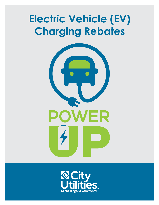# **Electric Vehicle (EV) Charging Rebates**



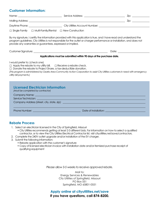## **Customer Information:**

|                                                                                                                                                                                                                                                                                                                                                         | Daytime Phone: ________________________________City Utilities Account Number: ________________________________        |  |  |  |
|---------------------------------------------------------------------------------------------------------------------------------------------------------------------------------------------------------------------------------------------------------------------------------------------------------------------------------------------------------|-----------------------------------------------------------------------------------------------------------------------|--|--|--|
| $\Box$ Single Family $\Box$ Multi-Family/Rental $\Box$ New Construction                                                                                                                                                                                                                                                                                 |                                                                                                                       |  |  |  |
| By my signature, I certify the information provided with this application is true, and I have read and understand the<br>program guidelines. City Utilities is not responsible for the outlet or charger performance or installation, and does not<br>provide any warranties or guarantees, expressed or implied.                                       |                                                                                                                       |  |  |  |
|                                                                                                                                                                                                                                                                                                                                                         |                                                                                                                       |  |  |  |
| Applications must be submitted within 90 days of the purchase date.                                                                                                                                                                                                                                                                                     |                                                                                                                       |  |  |  |
| I would prefer to: (check one)<br>$\Box$ Apply the rebate to my utility bill. $\Box$ Receive a rebate check.<br>$\Box$ Donate the rebate to Project Share, a tax-deductible donation.<br>(This program is administered by Ozarks Area Community Action Corporation to assist City Utilities customers in need with emergency<br>utility bill payments.) |                                                                                                                       |  |  |  |
| Licensed Electrician Information<br>(Must be completed by contractor)<br>Service Technician: Electronic Control of the Control of the Control of the Control of the Control of the Control of the Control of the Control of the Control of the Control of the Control of the Control of the Control of                                                  | <u> 1989 - Johann Stein, marwolaethau a bhann an t-Amhain ann an t-Amhain an t-Amhain an t-Amhain an t-Amhain an </u> |  |  |  |
|                                                                                                                                                                                                                                                                                                                                                         | Date of Installation: <b>Example 2014</b> The Contract of Installation:                                               |  |  |  |

#### **Rebate Process**

- 1. Select an electrician licensed in the City of Springfield, Missouri
	- • City Utilities recommends getting at least 2-3 different bids. For information on how to select a qualified contractor, or to view the City Utilities Electrical Contractor list, visit cityutilities.net/save/contractors.
- 2. Complete the 240V outlet upgrade and/or installation of the EV charger.
- 3. Submit the following information:
	- Rebate application with the customer's signature
	- Copy of licensed electrician invoice with installation date and/or itemized purchase receipt of qualifying equipment

*Please allow 3-5 weeks to receive approved rebate.*

Mail to: Energy Services & Renewables City Utilities of Springfield, Missouri PO Box 551 Springfield, MO 65801-0551

## **Apply online at cityutilities.net/save If you have questions, call 874-8200.**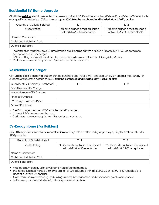# **Residential EV Home Upgrade**

City Utilities **existing** electric residential customers who install a 240-volt outlet with a NEMA 6-50 or NEMA 14-50 receptacle may qualify for a rebate of 50% of the cost up to \$500. **Must be purchased and installed May 1, 2022, or after.** 

| Quantity of Outlet(s) Installed |                                                                      | $\Box$ 2                                                              |
|---------------------------------|----------------------------------------------------------------------|-----------------------------------------------------------------------|
| Outlet Rating                   | $\Box$ 50-amp branch circuit equipped<br>with a NEMA 6-50 receptacle | $\Box$ 50-amp branch circuit equipped<br>with a NEMA 14-50 receptacle |
| Name of Contractor:             |                                                                      |                                                                       |
| Outlet and Installation Cost:   |                                                                      |                                                                       |
| Date of Installation:           |                                                                      |                                                                       |

- The installation must include a 50-amp branch circuit equipped with a NEMA 6-50 or NEMA 14-50 receptacle to accept a Level 2 EV charger.
- • EV Home Upgrade must be installed by an electrician licensed in the City of Springfield, Missouri.
- Customers may receive up to two (2) rebates per service address.

# **Residential EV Charger**

City Utilities electric residential customers who purchase and install a Wi-Fi enabled Level 2 EV charger may qualify for a rebate of 50% of the cost up to \$500. **Must be purchased and installed May 1, 2022, or after.** 

| Quantity of EV Charger(s) Purchased | -17 |
|-------------------------------------|-----|
| Brand Name of EV Charger:           |     |
| Model Number of EV Charger:         |     |
| Place of Purchase:                  |     |
| <b>EV Charger Purchase Price:</b>   |     |
| Date of Purchase:                   |     |

- The EV charger must be a Wi-Fi enabled Level 2 charger.
- All Level 2 EV chargers must be new.
- Customers may receive up to two (2) rebates per customer.

## **EV-Ready Home (For Builders)**

City Utilities electric residential **new construction** dwellings with an attached garage may qualify for a rebate of up to \$100 per outlet.

| Quantity of Outlets Installed |                                                                               | П 2                                                                   |
|-------------------------------|-------------------------------------------------------------------------------|-----------------------------------------------------------------------|
| Outlet Rating                 | 50-amp branch circuit equipped<br>$\mathbf{L}$<br>with a NEMA 6-50 receptacle | $\Box$ 50-amp branch circuit equipped<br>with a NEMA 14-50 receptacle |
| Name of Contractor:           |                                                                               |                                                                       |
| Outlet and Installation Cost: |                                                                               |                                                                       |
| Date of Installation:         |                                                                               |                                                                       |

- Must be a new construction dwelling with an attached garage.
- The installation must include a 50-amp branch circuit equipped with a NEMA 6-50 or NEMA 14-50 receptacle to accept a Level 2 EV charger.
- Outlet must be installed during the building process, be connected and operational prior to occupancy.
- Builders may receive up to two (2) rebates per service address.